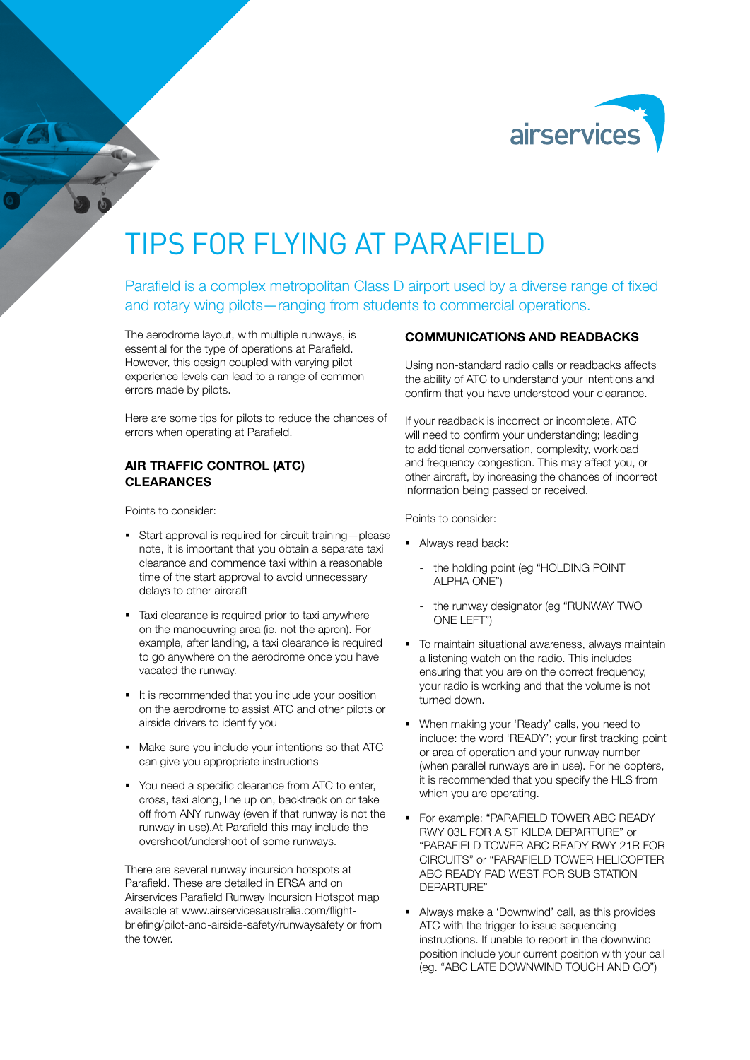

# TIPS FOR FLYING AT PARAFIFLD

Parafield is a complex metropolitan Class D airport used by a diverse range of fixed and rotary wing pilots—ranging from students to commercial operations.

The aerodrome layout, with multiple runways, is essential for the type of operations at Parafield. However, this design coupled with varying pilot experience levels can lead to a range of common errors made by pilots.

Here are some tips for pilots to reduce the chances of errors when operating at Parafield.

## AIR TRAFFIC CONTROL (ATC) **CLEARANCES**

Points to consider:

- Start approval is required for circuit training—please note, it is important that you obtain a separate taxi clearance and commence taxi within a reasonable time of the start approval to avoid unnecessary delays to other aircraft
- Taxi clearance is required prior to taxi anywhere on the manoeuvring area (ie. not the apron). For example, after landing, a taxi clearance is required to go anywhere on the aerodrome once you have vacated the runway.
- It is recommended that you include your position on the aerodrome to assist ATC and other pilots or airside drivers to identify you
- Make sure you include your intentions so that ATC can give you appropriate instructions
- You need a specific clearance from ATC to enter, cross, taxi along, line up on, backtrack on or take off from ANY runway (even if that runway is not the runway in use).At Parafield this may include the overshoot/undershoot of some runways.

There are several runway incursion hotspots at Parafield. These are detailed in ERSA and on Airservices Parafield Runway Incursion Hotspot map available at [www.airservicesaustralia.com/flight](http://www.airservicesaustralia.com/flight-briefing/pilot-and-airside-safety/runwaysafety)[briefing/pilot-and-airside-safety/runwaysafety](http://www.airservicesaustralia.com/flight-briefing/pilot-and-airside-safety/runwaysafety) or from the tower.

## COMMUNICATIONS AND READBACKS

Using non-standard radio calls or readbacks affects the ability of ATC to understand your intentions and confirm that you have understood your clearance.

If your readback is incorrect or incomplete, ATC will need to confirm your understanding; leading to additional conversation, complexity, workload and frequency congestion. This may affect you, or other aircraft, by increasing the chances of incorrect information being passed or received.

Points to consider:

- **Always read back:** 
	- the holding point (eg "HOLDING POINT ALPHA ONE")
	- the runway designator (eg "RUNWAY TWO ONE LEFT")
- $\blacksquare$  To maintain situational awareness, always maintain a listening watch on the radio. This includes ensuring that you are on the correct frequency, your radio is working and that the volume is not turned down.
- When making your 'Ready' calls, you need to include: the word 'READY'; your first tracking point or area of operation and your runway number (when parallel runways are in use). For helicopters, it is recommended that you specify the HLS from which you are operating.
- **For example: "PARAFIELD TOWER ABC READY** RWY 03L FOR A ST KILDA DEPARTURE" or "PARAFIELD TOWER ABC READY RWY 21R FOR CIRCUITS" or "PARAFIELD TOWER HELICOPTER ABC READY PAD WEST FOR SUB STATION DEPARTURE"
- Always make a 'Downwind' call, as this provides ATC with the trigger to issue sequencing instructions. If unable to report in the downwind position include your current position with your call (eg. "ABC LATE DOWNWIND TOUCH AND GO")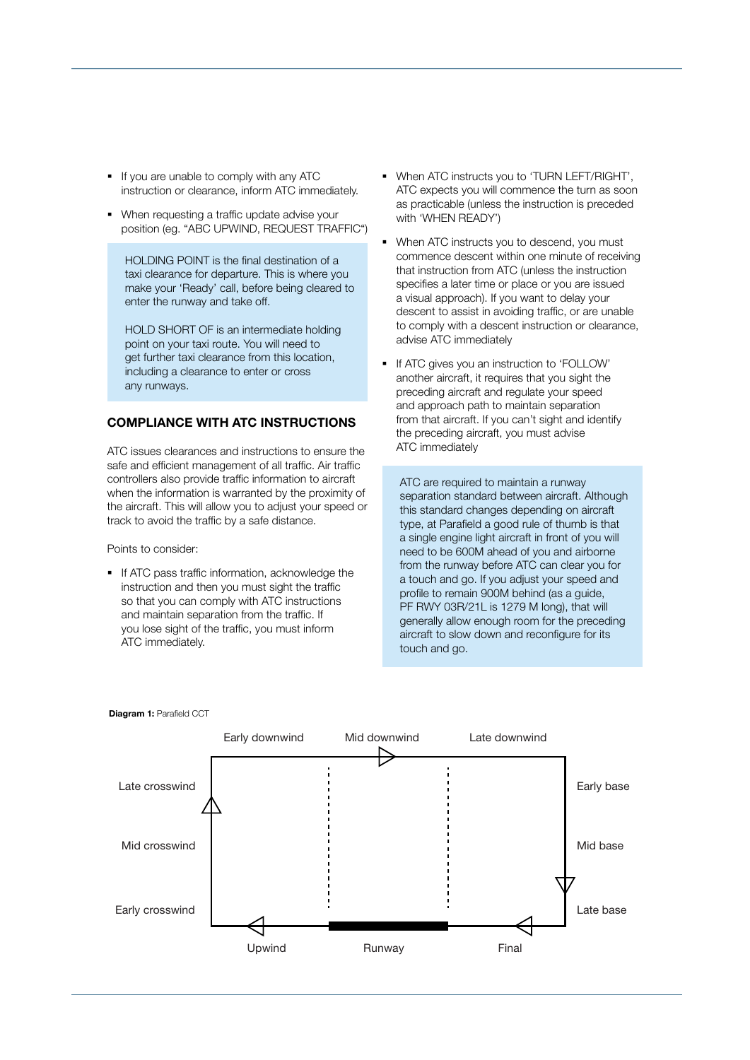- If you are unable to comply with any ATC instruction or clearance, inform ATC immediately.
- When requesting a traffic update advise your position (eg. "ABC UPWIND, REQUEST TRAFFIC")

HOLDING POINT is the final destination of a taxi clearance for departure. This is where you make your 'Ready' call, before being cleared to enter the runway and take off.

HOLD SHORT OF is an intermediate holding point on your taxi route. You will need to get further taxi clearance from this location, including a clearance to enter or cross any runways.

## COMPLIANCE WITH ATC INSTRUCTIONS

ATC issues clearances and instructions to ensure the safe and efficient management of all traffic. Air traffic controllers also provide traffic information to aircraft when the information is warranted by the proximity of the aircraft. This will allow you to adjust your speed or track to avoid the traffic by a safe distance.

Points to consider:

If ATC pass traffic information, acknowledge the instruction and then you must sight the traffic so that you can comply with ATC instructions and maintain separation from the traffic. If you lose sight of the traffic, you must inform ATC immediately.

- When ATC instructs you to 'TURN LEFT/RIGHT', ATC expects you will commence the turn as soon as practicable (unless the instruction is preceded with 'WHEN READY')
- When ATC instructs you to descend, you must commence descent within one minute of receiving that instruction from ATC (unless the instruction specifies a later time or place or you are issued a visual approach). If you want to delay your descent to assist in avoiding traffic, or are unable to comply with a descent instruction or clearance, advise ATC immediately
- If ATC gives you an instruction to 'FOLLOW' another aircraft, it requires that you sight the preceding aircraft and regulate your speed and approach path to maintain separation from that aircraft. If you can't sight and identify the preceding aircraft, you must advise ATC immediately

ATC are required to maintain a runway separation standard between aircraft. Although this standard changes depending on aircraft type, at Parafield a good rule of thumb is that a single engine light aircraft in front of you will need to be 600M ahead of you and airborne from the runway before ATC can clear you for a touch and go. If you adjust your speed and profile to remain 900M behind (as a guide, PF RWY 03R/21L is 1279 M long), that will generally allow enough room for the preceding aircraft to slow down and reconfigure for its touch and go.



#### Diagram 1: Parafield CCT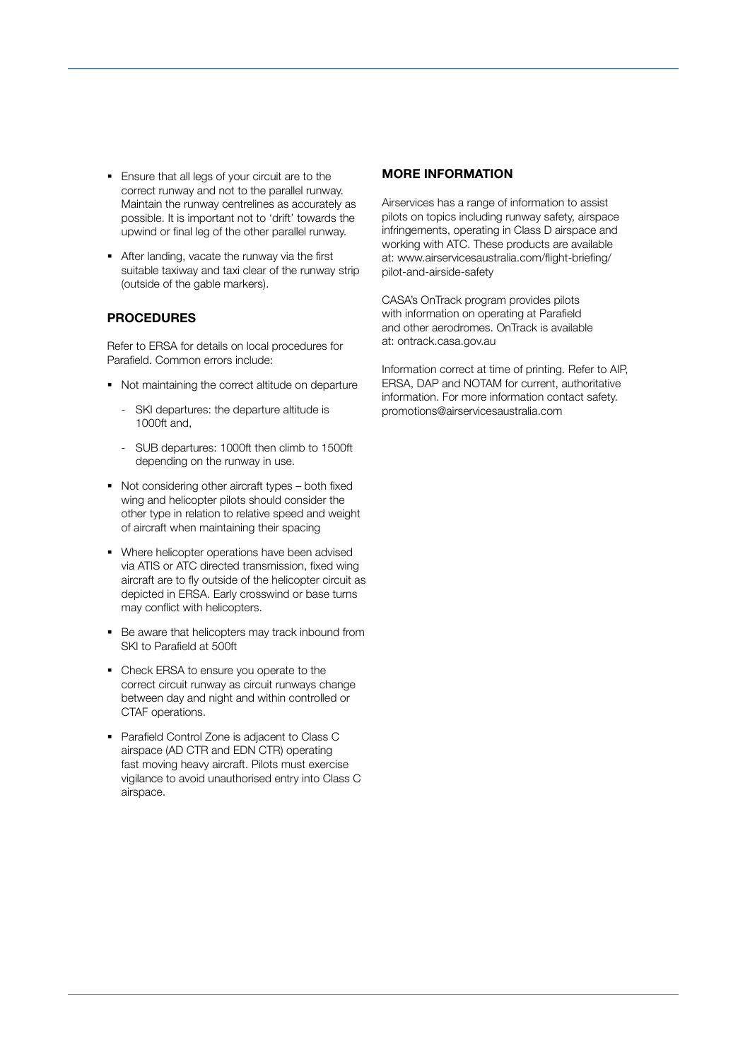- **Ensure that all legs of your circuit are to the** correct runway and not to the parallel runway. Maintain the runway centrelines as accurately as possible. It is important not to 'drift' towards the upwind or final leg of the other parallel runway.
- After landing, vacate the runway via the first suitable taxiway and taxi clear of the runway strip (outside of the gable markers).

## PROCEDURES

Refer to ERSA for details on local procedures for Parafield. Common errors include:

- Not maintaining the correct altitude on departure
	- SKI departures: the departure altitude is 1000ft and,
	- SUB departures: 1000ft then climb to 1500ft depending on the runway in use.
- Not considering other aircraft types both fixed wing and helicopter pilots should consider the other type in relation to relative speed and weight of aircraft when maintaining their spacing
- Where helicopter operations have been advised via ATIS or ATC directed transmission, fixed wing aircraft are to fly outside of the helicopter circuit as depicted in ERSA. Early crosswind or base turns may conflict with helicopters.
- Be aware that helicopters may track inbound from SKI to Parafield at 500ft
- Check ERSA to ensure you operate to the correct circuit runway as circuit runways change between day and night and within controlled or CTAF operations.
- Parafield Control Zone is adjacent to Class C airspace (AD CTR and EDN CTR) operating fast moving heavy aircraft. Pilots must exercise vigilance to avoid unauthorised entry into Class C airspace.

### MORE INFORMATION

Airservices has a range of information to assist pilots on topics including runway safety, airspace infringements, operating in Class D airspace and working with ATC. These products are available at: [www.airservicesaustralia.com/flight-briefing/](http://www.airservicesaustralia.com/flight-briefing/pilot‑and‑airside‑safety) [pilot‑and‑airside‑safety](http://www.airservicesaustralia.com/flight-briefing/pilot‑and‑airside‑safety)

CASA's OnTrack program provides pilots with information on operating at Parafield and other aerodromes. OnTrack is available at: [ontrack.casa.gov.au](http://ontrack.casa.gov.au)

Information correct at time of printing. Refer to AIP, ERSA, DAP and NOTAM for current, authoritative information. For more information contact [safety.](mailto:safety.promotions@airservicesaustralia.com) [promotions@airservicesaustralia.com](mailto:safety.promotions@airservicesaustralia.com)